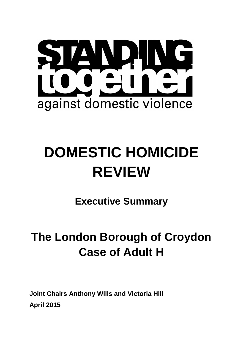

# **DOMESTIC HOMICIDE REVIEW**

**Executive Summary** 

## **The London Borough of Croydon Case of Adult H**

**Joint Chairs Anthony Wills and Victoria Hill April 2015**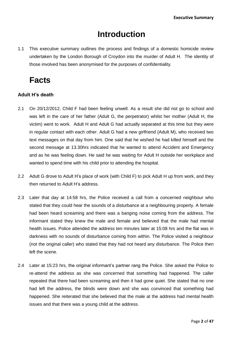### **Introduction**

1.1 This executive summary outlines the process and findings of a domestic homicide review undertaken by the London Borough of Croydon into the murder of Adult H. The identity of those involved has been anonymised for the purposes of confidentiality.

## **Facts**

#### **Adult H's death**

- 2.1 On 20/12/2012, Child F had been feeling unwell. As a result she did not go to school and was left in the care of her father (Adult G, the perpetrator) whilst her mother (Adult H, the victim) went to work. Adult H and Adult G had actually separated at this time but they were in regular contact with each other. Adult G had a new girlfriend (Adult M), who received two text messages on that day from him. One said that he wished he had killed himself and the second message at 13.30hrs indicated that he wanted to attend Accident and Emergency and as he was feeling down. He said he was waiting for Adult H outside her workplace and wanted to spend time with his child prior to attending the hospital.
- 2.2 Adult G drove to Adult H's place of work (with Child F) to pick Adult H up from work, and they then returned to Adult H's address.
- 2.3 Later that day at 14:58 hrs, the Police received a call from a concerned neighbour who stated that they could hear the sounds of a disturbance at a neighbouring property. A female had been heard screaming and there was a banging noise coming from the address. The informant stated they knew the male and female and believed that the male had mental health issues. Police attended the address ten minutes later at 15:08 hrs and the flat was in darkness with no sounds of disturbance coming from within. The Police visited a neighbour (not the original caller) who stated that they had not heard any disturbance. The Police then left the scene.
- 2.4 Later at 15:23 hrs, the original informant's partner rang the Police. She asked the Police to re-attend the address as she was concerned that something had happened. The caller repeated that there had been screaming and then it had gone quiet. She stated that no one had left the address, the blinds were down and she was convinced that something had happened. She reiterated that she believed that the male at the address had mental health issues and that there was a young child at the address.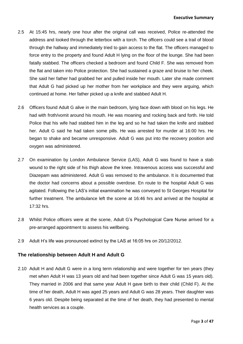- 2.5 At 15:45 hrs, nearly one hour after the original call was received, Police re-attended the address and looked through the letterbox with a torch. The officers could see a trail of blood through the hallway and immediately tried to gain access to the flat. The officers managed to force entry to the property and found Adult H lying on the floor of the lounge. She had been fatally stabbed. The officers checked a bedroom and found Child F. She was removed from the flat and taken into Police protection. She had sustained a graze and bruise to her cheek. She said her father had grabbed her and pulled inside her mouth. Later she made comment that Adult G had picked up her mother from her workplace and they were arguing, which continued at home. Her father picked up a knife and stabbed Adult H.
- 2.6 Officers found Adult G alive in the main bedroom, lying face down with blood on his legs. He had with froth/vomit around his mouth. He was moaning and rocking back and forth. He told Police that his wife had stabbed him in the leg and so he had taken the knife and stabbed her. Adult G said he had taken some pills. He was arrested for murder at 16:00 hrs. He began to shake and became unresponsive. Adult G was put into the recovery position and oxygen was administered.
- 2.7 On examination by London Ambulance Service (LAS), Adult G was found to have a stab wound to the right side of his thigh above the knee. Intravenous access was successful and Diazepam was administered. Adult G was removed to the ambulance. It is documented that the doctor had concerns about a possible overdose. En route to the hospital Adult G was agitated. Following the LAS's initial examination he was conveyed to St Georges Hospital for further treatment. The ambulance left the scene at 16:46 hrs and arrived at the hospital at 17:32 hrs.
- 2.8 Whilst Police officers were at the scene, Adult G's Psychological Care Nurse arrived for a pre-arranged appointment to assess his wellbeing.
- 2.9 Adult H's life was pronounced extinct by the LAS at 16:05 hrs on 20/12/2012.

#### **The relationship between Adult H and Adult G**

2.10 Adult H and Adult G were in a long term relationship and were together for ten years (they met when Adult H was 13 years old and had been together since Adult G was 15 years old). They married in 2006 and that same year Adult H gave birth to their child (Child F). At the time of her death, Adult H was aged 25 years and Adult G was 28 years. Their daughter was 6 years old. Despite being separated at the time of her death, they had presented to mental health services as a couple.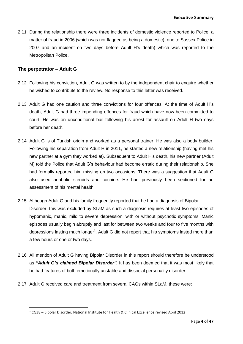2.11 During the relationship there were three incidents of domestic violence reported to Police: a matter of fraud in 2006 (which was not flagged as being a domestic), one to Sussex Police in 2007 and an incident on two days before Adult H's death) which was reported to the Metropolitan Police.

#### **The perpetrator – Adult G**

**.** 

- 2.12 Following his conviction, Adult G was written to by the independent chair to enquire whether he wished to contribute to the review. No response to this letter was received.
- 2.13 Adult G had one caution and three convictions for four offences. At the time of Adult H's death, Adult G had three impending offences for fraud which have now been committed to court. He was on unconditional bail following his arrest for assault on Adult H two days before her death.
- had formally reported him missing on two occasions. There was a suggestion that Adult G 2.14 Adult G is of Turkish origin and worked as a personal trainer. He was also a body builder. Following his separation from Adult H in 2011, he started a new relationship (having met his new partner at a gym they worked at). Subsequent to Adult H's death, his new partner (Adult M) told the Police that Adult G's behaviour had become erratic during their relationship. She also used anabolic steroids and cocaine. He had previously been sectioned for an assessment of his mental health.
- 2.15 Although Adult G and his family frequently reported that he had a diagnosis of Bipolar Disorder, this was excluded by SLaM as such a diagnosis requires at least two episodes of hypomanic, manic, mild to severe depression, with or without psychotic symptoms. Manic episodes usually begin abruptly and last for between two weeks and four to five months with depressions lasting much longer<sup>1</sup>. Adult G did not report that his symptoms lasted more than a few hours or one or two days.
- 2.16 All mention of Adult G having Bipolar Disorder in this report should therefore be understood as *"Adult G's claimed Bipolar Disorder".* It has been deemed that it was most likely that he had features of both emotionally unstable and dissocial personality disorder.
- 2.17 Adult G received care and treatment from several CAGs within SLaM, these were:

 $1$  CG38 – Bipolar Disorder, National Institute for Health & Clinical Excellence revised April 2012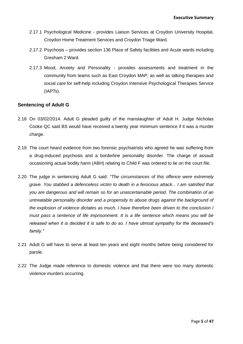- 2.17.1 Psychological Medicine provides Liaison Services at Croydon University Hospital, Croydon Home Treatment Services and Croydon Triage Ward.
- 2.17.2 Psychosis provides section 136 Place of Safety facilities and Acute wards including Gresham 2 Ward.
- 2.17.3 Mood, Anxiety and Personality provides assessments and treatment in the community from teams such as East Croydon MAP; as well as talking therapies and social care for self-help including Croydon Intensive Psychological Therapies Service (IAPTs).

#### **Sentencing of Adult G**

- 2.18 On 03/02/2014. Adult G pleaded guilty of the manslaughter of Adult H. Judge Nicholas Cooke QC said BS would have received a twenty year minimum sentence if it was a murder charge.
- 2.19 The court heard evidence from two forensic psychiatrists who agreed he was suffering from a drug-induced psychosis and a borderline personality disorder. The charge of assault occasioning actual bodily harm (ABH) relating to Child F was ordered to lie on the court file.
- 2.20 The judge in sentencing Adult G said: *"The circumstances of this offence were extremely grave. You stabbed a defenceless victim to death in a ferocious attack... I am satisfied that you are dangerous and will remain so for an unascertainable period. The combination of an untreatable personality disorder and a propensity to abuse drugs against the background of the explosion of violence dictates as much. I have therefore been driven to the conclusion I must pass a sentence of life imprisonment. It is a life sentence which means you will be released when it is decided it is safe to do so. I have utmost sympathy for the deceased's family."*
- 2.21 Adult G will have to serve at least ten years and eight months before being considered for parole.
- 2.22 The Judge made reference to domestic violence and that there were too many domestic violence murders occurring.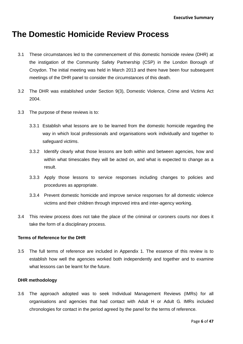### **The Domestic Homicide Review Process**

- 3.1 These circumstances led to the commencement of this domestic homicide review (DHR) at the instigation of the Community Safety Partnership (CSP) in the London Borough of Croydon. The initial meeting was held in March 2013 and there have been four subsequent meetings of the DHR panel to consider the circumstances of this death.
- 3.2 The DHR was established under Section 9(3), Domestic Violence, Crime and Victims Act 2004.
- 3.3 The purpose of these reviews is to:
	- 3.3.1 Establish what lessons are to be learned from the domestic homicide regarding the way in which local professionals and organisations work individually and together to safeguard victims.
	- 3.3.2 Identify clearly what those lessons are both within and between agencies, how and within what timescales they will be acted on, and what is expected to change as a result.
	- 3.3.3 Apply those lessons to service responses including changes to policies and procedures as appropriate.
	- 3.3.4 Prevent domestic homicide and improve service responses for all domestic violence victims and their children through improved intra and inter-agency working.
- 3.4 This review process does not take the place of the criminal or coroners courts nor does it take the form of a disciplinary process.

#### **Terms of Reference for the DHR**

3.5 The full terms of reference are included in Appendix 1. The essence of this review is to establish how well the agencies worked both independently and together and to examine what lessons can be learnt for the future.

#### **DHR methodology**

3.6 The approach adopted was to seek Individual Management Reviews (IMRs) for all organisations and agencies that had contact with Adult H or Adult G. IMRs included chronologies for contact in the period agreed by the panel for the terms of reference.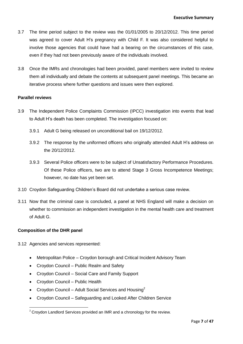- 3.7 The time period subject to the review was the 01/01/2005 to 20/12/2012. This time period was agreed to cover Adult H's pregnancy with Child F. It was also considered helpful to involve those agencies that could have had a bearing on the circumstances of this case, even if they had not been previously aware of the individuals involved.
- 3.8 Once the IMRs and chronologies had been provided, panel members were invited to review them all individually and debate the contents at subsequent panel meetings. This became an iterative process where further questions and issues were then explored.

#### **Parallel reviews**

- 3.9 The Independent Police Complaints Commission (IPCC) investigation into events that lead to Adult H's death has been completed. The investigation focused on:
	- 3.9.1 Adult G being released on unconditional bail on 19/12/2012.
	- 3.9.2 The response by the uniformed officers who originally attended Adult H's address on the 20/12/2012.
	- Of these Police officers, two are to attend Stage 3 Gross Incompetence Meetings; 3.9.3 Several Police officers were to be subject of Unsatisfactory Performance Procedures. however, no date has yet been set.
- 3.10 Croydon Safeguarding Children's Board did not undertake a serious case review.
- 3.11 Now that the criminal case is concluded, a panel at NHS England will make a decision on whether to commission an independent investigation in the mental health care and treatment of Adult G.

#### **Composition of the DHR panel**

- 3.12 Agencies and services represented:
	- Metropolitan Police Croydon borough and Critical Incident Advisory Team
	- Croydon Council Public Realm and Safety
	- Croydon Council Social Care and Family Support
	- Croydon Council Public Health
	- Croydon Council Adult Social Services and Housing<sup>2</sup>
	- Croydon Council Safeguarding and Looked After Children Service

**<sup>.</sup>**  $2$  Croydon Landlord Services provided an IMR and a chronology for the review.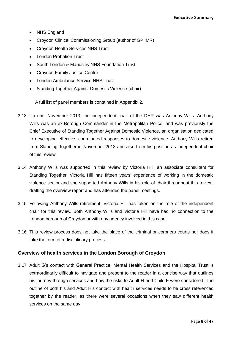- NHS England
- Croydon Clinical Commissioning Group (author of GP IMR)
- Croydon Health Services NHS Trust
- London Probation Trust
- South London & Maudsley NHS Foundation Trust
- Croydon Family Justice Centre
- London Ambulance Service NHS Trust
- Standing Together Against Domestic Violence (chair)

A full list of panel members is contained in Appendix 2.

- 3.13 Up until November 2013, the independent chair of the DHR was Anthony Wills. Anthony Wills was an ex-Borough Commander in the Metropolitan Police, and was previously the Chief Executive of Standing Together Against Domestic Violence, an organisation dedicated to developing effective, coordinated responses to domestic violence. Anthony Wills retired from Standing Together in November 2013 and also from his position as independent chair of this review.
- 3.14 Anthony Wills was supported in this review by Victoria Hill, an associate consultant for Standing Together. Victoria Hill has fifteen years' experience of working in the domestic violence sector and she supported Anthony Wills in his role of chair throughout this review, drafting the overview report and has attended the panel meetings.
- 3.15 Following Anthony Wills retirement, Victoria Hill has taken on the role of the independent chair for this review. Both Anthony Wills and Victoria Hill have had no connection to the London borough of Croydon or with any agency involved in this case.
- 3.16 This review process does not take the place of the criminal or coroners courts nor does it take the form of a disciplinary process.

#### **Overview of health services in the London Borough of Croydon**

3.17 Adult G's contact with General Practice, Mental Health Services and the Hospital Trust is extraordinarily difficult to navigate and present to the reader in a concise way that outlines his journey through services and how the risks to Adult H and Child F were considered. The outline of both his and Adult H's contact with health services needs to be cross referenced together by the reader, as there were several occasions when they saw different health services on the same day.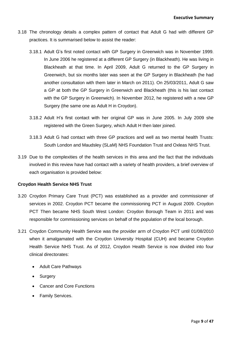- 3.18 The chronology details a complex pattern of contact that Adult G had with different GP practices. It is summarised below to assist the reader:
	- 3.18.1 Adult G's first noted contact with GP Surgery in Greenwich was in November 1999. In June 2006 he registered at a different GP Surgery (in Blackheath). He was living in Blackheath at that time. In April 2009, Adult G returned to the GP Surgery in Greenwich, but six months later was seen at the GP Surgery in Blackheath (he had another consultation with them later in March on 2011). On 25/03/2011, Adult G saw a GP at both the GP Surgery in Greenwich and Blackheath (this is his last contact with the GP Surgery in Greenwich). In November 2012, he registered with a new GP Surgery (the same one as Adult H in Croydon).
	- 3.18.2 Adult H's first contact with her original GP was in June 2005. In July 2009 she registered with the Green Surgery, which Adult H then later joined.
	- 3.18.3 Adult G had contact with three GP practices and well as two mental health Trusts: [South London and Maudsley \(SLaM\)](http://www.slam.nhs.uk/) NHS Foundation Trust and Oxleas NHS Trust.
- 3.19 Due to the complexities of the health services in this area and the fact that the individuals involved in this review have had contact with a variety of health providers, a brief overview of each organisation is provided below:

#### **Croydon Health Service NHS Trust**

- 3.20 Croydon Primary Care Trust (PCT) was established as a provider and commissioner of services in 2002. Croydon PCT became the commissioning PCT in August 2009. Croydon PCT Then became NHS South West London: Croydon Borough Team in 2011 and was responsible for commissioning services on behalf of the population of the local borough.
- 3.21 Croydon Community Health Service was the provider arm of Croydon PCT until 01/08/2010 when it amalgamated with the Croydon University Hospital (CUH) and became Croydon Health Service NHS Trust. As of 2012, Croydon Health Service is now divided into four clinical directorates:
	- Adult Care Pathways
	- Surgery
	- Cancer and Core Functions
	- Family Services.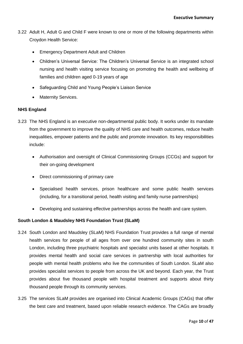- 3.22 Adult H, Adult G and Child F were known to one or more of the following departments within Croydon Health Service:
	- Emergency Department Adult and Children
	- Children's Universal Service: The Children's Universal Service is an integrated school nursing and health visiting service focusing on promoting the health and wellbeing of families and children aged 0-19 years of age
	- Safeguarding Child and Young People's Liaison Service
	- Maternity Services.

#### **NHS England**

- 3.23 The NHS England is an executive non-departmental public body. It works under its mandate from the government to improve the quality of NHS care and health outcomes, reduce health inequalities, empower patients and the public and promote innovation. Its key responsibilities include:
	- Authorisation and oversight of Clinical Commissioning Groups (CCGs) and support for their on-going development
	- Direct commissioning of primary care
	- Specialised health services, prison healthcare and some public health services (including, for a transitional period, health visiting and family nurse partnerships)
	- Developing and sustaining effective partnerships across the health and care system.

#### **South London & Maudsley NHS Foundation Trust (SLaM)**

- 3.24 [South London and Maudsley \(SLaM\)](http://www.slam.nhs.uk/) NHS Foundation Trust provides a full range of mental health services for people of all ages from over one hundred community sites in south London, including three psychiatric hospitals and specialist units based at other hospitals. It provides mental health and social care services in partnership with local authorities for people with mental health problems who live the communities of South London. SLaM also provides specialist services to people from across the UK and beyond. Each year, the Trust provides about five thousand people with hospital treatment and supports about thirty thousand people through its community services.
- 3.25 The services SLaM provides are organised into Clinical Academic Groups (CAGs) that offer the best care and treatment, based upon reliable research evidence. The CAGs are broadly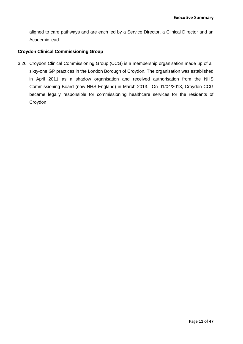aligned to care pathways and are each led by a Service Director, a Clinical Director and an Academic lead.

#### **Croydon Clinical Commissioning Group**

3.26 Croydon Clinical Commissioning Group (CCG) is a membership organisation made up of all sixty-one GP practices in the London Borough of Croydon. The organisation was established in April 2011 as a shadow organisation and received authorisation from the NHS Commissioning Board (now NHS England) in March 2013. On 01/04/2013, Croydon CCG became legally responsible for commissioning healthcare services for the residents of Croydon.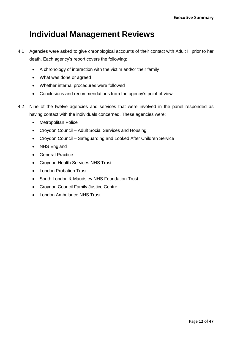## **Individual Management Reviews**

- 4.1 Agencies were asked to give chronological accounts of their contact with Adult H prior to her death. Each agency's report covers the following:
	- A chronology of interaction with the victim and/or their family
	- What was done or agreed
	- Whether internal procedures were followed
	- Conclusions and recommendations from the agency's point of view.
- 4.2 Nine of the twelve agencies and services that were involved in the panel responded as having contact with the individuals concerned. These agencies were:
	- Metropolitan Police
	- Croydon Council Adult Social Services and Housing
	- Croydon Council Safeguarding and Looked After Children Service
	- NHS England
	- **•** General Practice
	- Croydon Health Services NHS Trust
	- London Probation Trust
	- South London & Maudsley NHS Foundation Trust
	- Croydon Council Family Justice Centre
	- London Ambulance NHS Trust.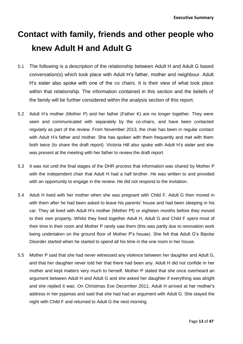## **Contact with family, friends and other people who knew Adult H and Adult G**

- 5.1 The following is a description of the relationship between Adult H and Adult G based conversation(s) which took place with Adult H's father, mother and neighbour. Adult H's sister also spoke with one of the co chairs. It is their view of what took place within that relationship. The information contained in this section and the beliefs of the family will be further considered within the analysis section of this report.
- 5.2 Adult H's mother (Mother P) and her father (Father K) are no longer together. They were seen and communicated with separately by the co-chairs, and have been contacted regularly as part of the review. From November 2013, the chair has been in regular contact with Adult H's father and mother. She has spoken with them frequently and met with them both twice (to share the draft report). Victoria Hill also spoke with Adult H's sister and she was present at the meeting with her father to review the draft report.
- with the independent chair that Adult H had a half brother. He was written to and provided 5.3 It was not until the final stages of the DHR process that information was shared by Mother P with an opportunity to engage in the review. He did not respond to the invitation.
- 5.4 Adult H lived with her mother when she was pregnant with Child F. Adult G then moved in with them after he had been asked to leave his parents' house and had been sleeping in his car. They all lived with Adult H's mother (Mother Pf) or eighteen months before they moved to their own property. Whilst they lived together Adult H, Adult G and Child F spent most of their time in their room and Mother P rarely saw them (this was partly due to renovation work being undertaken on the ground floor of Mother P's house). She felt that Adult G's Bipolar Disorder started when he started to spend all his time in the one room in her house.
- 5.5 Mother P said that she had never witnessed any violence between her daughter and Adult G, and that her daughter never told her that there had been any. Adult H did not confide in her mother and kept matters very much to herself. Mother P stated that she once overheard an argument between Adult H and Adult G and she asked her daughter if everything was alright and she replied it was. On Christmas Eve December 2011, Adult H arrived at her mother's address in her pyjamas and said that she had had an argument with Adult G. She stayed the night with Child F and returned to Adult G the next morning.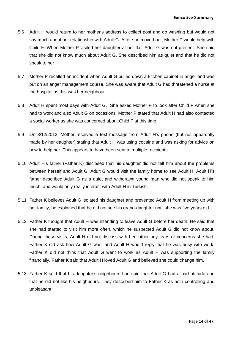- 5.6 Adult H would return to her mother's address to collect post and do washing but would not say much about her relationship with Adult G. After she moved out, Mother P would help with Child F. When Mother P visited her daughter at her flat, Adult G was not present. She said that she did not know much about Adult G. She described him as quiet and that he did not speak to her.
- 5.7 Mother P recalled an incident when Adult G pulled down a kitchen cabinet in anger and was put on an anger management course. She was aware that Adult G had threatened a nurse at the hospital as this was her neighbour.
- 5.8 Adult H spent most days with Adult G. She asked Mother P to look after Child F when she had to work and also Adult G on occasions. Mother P stated that Adult H had also contacted a social worker as she was concerned about Child F at this time.
- 5.9 On 8/12/2012, Mother received a text message from Adult H's phone (but not apparently made by her daughter) stating that Adult H was using cocaine and was asking for advice on how to help her. This appears to have been sent to multiple recipients.
- between herself and Adult G. Adult G would visit the family home to see Adult H. Adult H's 5.10 Adult H's father (Father K) disclosed that his daughter did not tell him about the problems father described Adult G as a quiet and withdrawn young man who did not speak to him much, and would only really interact with Adult H in Turkish.
- 5.11 Father K believes Adult G isolated his daughter and prevented Adult H from meeting up with her family, he explained that he did not see his grand-daughter until she was five years old.
- 5.12 Father K thought that Adult H was intending to leave Adult G before her death. He said that she had started to visit him more often, which he suspected Adult G did not know about. During these visits, Adult H did not discuss with her father any fears or concerns she had. Father K did ask how Adult G was, and Adult H would reply that he was busy with work. Father K did not think that Adult G went to work as Adult H was supporting the family financially. Father K said that Adult H loved Adult G and believed she could change him.
- 5.13 Father K said that his daughter's neighbours had said that Adult G had a bad attitude and that he did not like his neighbours. They described him to Father K as both controlling and unpleasant.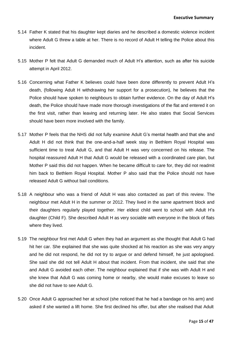- 5.14 Father K stated that his daughter kept diaries and he described a domestic violence incident where Adult G threw a table at her. There is no record of Adult H telling the Police about this incident.
- 5.15 Mother P felt that Adult G demanded much of Adult H's attention, such as after his suicide attempt in April 2012.
- 5.16 Concerning what Father K believes could have been done differently to prevent Adult H's death, (following Adult H withdrawing her support for a prosecution), he believes that the Police should have spoken to neighbours to obtain further evidence. On the day of Adult H's death, the Police should have made more thorough investigations of the flat and entered it on the first visit, rather than leaving and returning later. He also states that Social Services should have been more involved with the family.
- him back to Bethlem Royal Hospital. Mother P also said that the Police should not have 5.17 Mother P feels that the NHS did not fully examine Adult G's mental health and that she and Adult H did not think that the one-and-a-half week stay in Bethlem Royal Hospital was sufficient time to treat Adult G, and that Adult H was very concerned on his release. The hospital reassured Adult H that Adult G would be released with a coordinated care plan, but Mother P said this did not happen. When he became difficult to care for, they did not readmit released Adult G without bail conditions.
- 5.18 A neighbour who was a friend of Adult H was also contacted as part of this review. The neighbour met Adult H in the summer or 2012. They lived in the same apartment block and their daughters regularly played together. Her eldest child went to school with Adult H's daughter (Child F). She described Adult H as very sociable with everyone in the block of flats where they lived.
- 5.19 The neighbour first met Adult G when they had an argument as she thought that Adult G had hit her car. She explained that she was quite shocked at his reaction as she was very angry and he did not respond, he did not try to argue or and defend himself, he just apologised. She said she did not tell Adult H about that incident. From that incident, she said that she and Adult G avoided each other. The neighbour explained that if she was with Adult H and she knew that Adult G was coming home or nearby, she would make excuses to leave so she did not have to see Adult G.
- 5.20 Once Adult G approached her at school (she noticed that he had a bandage on his arm) and asked if she wanted a lift home. She first declined his offer, but after she realised that Adult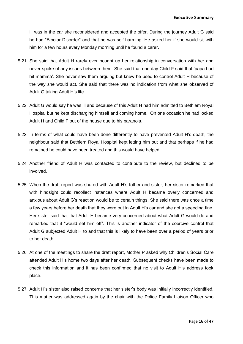H was in the car she reconsidered and accepted the offer. During the journey Adult G said he had "Bipolar Disorder" and that he was self-harming. He asked her if she would sit with him for a few hours every Monday morning until he found a carer.

- 5.21 She said that Adult H rarely ever bought up her relationship in conversation with her and never spoke of any issues between them. She said that one day Child F said that 'papa had hit mamma'. She never saw them arguing but knew he used to control Adult H because of the way she would act. She said that there was no indication from what she observed of Adult G taking Adult H's life.
- 5.22 Adult G would say he was ill and because of this Adult H had him admitted to Bethlem Royal Hospital but he kept discharging himself and coming home. On one occasion he had locked Adult H and Child F out of the house due to his paranoia.
- 5.23 In terms of what could have been done differently to have prevented Adult H's death, the neighbour said that Bethlem Royal Hospital kept letting him out and that perhaps if he had remained he could have been treated and this would have helped.
- 5.24 Another friend of Adult H was contacted to contribute to the review, but declined to be involved.
- 5.25 When the draft report was shared with Adult H's father and sister, her sister remarked that with hindsight could recollect instances where Adult H became overly concerned and anxious about Adult G's reaction would be to certain things. She said there was once a time a few years before her death that they were out in Adult H's car and she got a speeding fine. Her sister said that that Adult H became very concerned about what Adult G would do and remarked that it "would set him off". This is another indicator of the coercive control that Adult G subjected Adult H to and that this is likely to have been over a period of years prior to her death.
- 5.26 At one of the meetings to share the draft report, Mother P asked why Children's Social Care attended Adult H's home two days after her death. Subsequent checks have been made to check this information and it has been confirmed that no visit to Adult H's address took place.
- 5.27 Adult H's sister also raised concerns that her sister's body was initially incorrectly identified. This matter was addressed again by the chair with the Police Family Liaison Officer who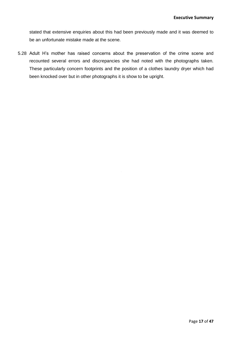stated that extensive enquiries about this had been previously made and it was deemed to be an unfortunate mistake made at the scene.

5.28 Adult H's mother has raised concerns about the preservation of the crime scene and recounted several errors and discrepancies she had noted with the photographs taken. These particularly concern footprints and the position of a clothes laundry dryer which had been knocked over but in other photographs it is show to be upright.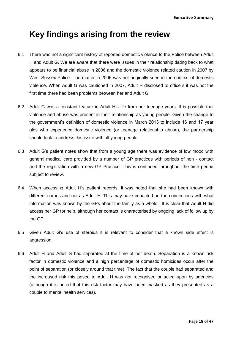## **Key findings arising from the review**

- 6.1 There was not a significant history of reported domestic violence to the Police between Adult H and Adult G. We are aware that there were issues in their relationship dating back to what appears to be financial abuse in 2006 and the domestic violence related caution in 2007 by West Sussex Police. The matter in 2006 was not originally seen in the context of domestic violence. When Adult G was cautioned in 2007, Adult H disclosed to officers it was not the first time there had been problems between her and Adult G.
- 6.2 Adult G was a constant feature in Adult H's life from her teenage years. It is possible that violence and abuse was present in their relationship as young people. Given the change to the government's definition of domestic violence in March 2013 to include 16 and 17 year olds who experience domestic violence (or teenage relationship abuse), the partnership should look to address this issue with all young people.
- 6.3 Adult G's patient notes show that from a young age there was evidence of low mood with general medical care provided by a number of GP practices with periods of non - contact and the registration with a new GP Practice. This is continued throughout the time period subject to review.
- 6.4 When accessing Adult H's patient records, it was noted that she had been known with different names and not as Adult H. This may have impacted on the connections with what information was known by the GPs about the family as a whole. It is clear that Adult H did access her GP for help, although her contact is characterised by ongoing lack of follow up by the GP.
- 6.5 Given Adult G's use of steroids it is relevant to consider that a known side effect is aggression.
- 6.6 Adult H and Adult G had separated at the time of her death. Separation is a known risk factor in domestic violence and a high percentage of domestic homicides occur after the point of separation (or closely around that time). The fact that the couple had separated and the increased risk this posed to Adult H was not recognised or acted upon by agencies (although it is noted that this risk factor may have been masked as they presented as a couple to mental health services).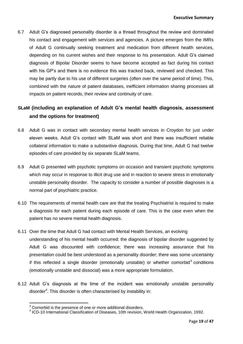6.7 Adult G's diagnosed personality disorder is a thread throughout the review and dominated his contact and engagement with services and agencies. A picture emerges from the IMRs of Adult G continually seeking treatment and medication from different health services, depending on his current wishes and their response to his presentation. Adult G's claimed diagnosis of Bipolar Disorder seems to have become accepted as fact during his contact with his GP's and there is no evidence this was tracked back, reviewed and checked. This may be partly due to his use of different surgeries (often over the same period of time). This, combined with the nature of patient databases, inefficient information sharing processes all impacts on patient records, their review and continuity of care.

#### **SLaM (including an explanation of Adult G's mental health diagnosis, assessment and the options for treatment)**

- 6.8 Adult G was in contact with secondary mental health services in Croydon for just under eleven weeks. Adult G's contact with SLaM was short and there was insufficient reliable collateral information to make a substantive diagnosis. During that time, Adult G had twelve episodes of care provided by six separate SLaM teams.
- which may occur in response to illicit drug use and in reaction to severe stress in emotionally 6.9 Adult G presented with psychotic symptoms on occasion and transient psychotic symptoms unstable personality disorder. The capacity to consider a number of possible diagnoses is a normal part of psychiatric practice.
- 6.10 The requirements of mental health care are that the treating Psychiatrist is required to make a diagnosis for each patient during each episode of care. This is the case even when the patient has no severe mental health diagnosis.
- 6.11 Over the time that Adult G had contact with Mental Health Services, an evolving understanding of his mental health occurred: the diagnosis of bipolar disorder suggested by Adult G was discounted with confidence; there was increasing assurance that his presentation could be best understood as a personality disorder; there was some uncertainty if this reflected a single disorder (emotionally unstable) or whether comorbid $3$  conditions (emotionally unstable and dissocial) was a more appropriate formulation.
- 6.12 Adult G's diagnosis at the time of the incident was emotionally unstable personality disorder<sup>4</sup>. This disorder is often characterised by instability in:

**.** 

 $3$  Comorbid is the presence of one or more additional disorders.

<sup>4</sup> ICD-10 International Classification of Diseases, 10th revision, World Health Organization, 1992.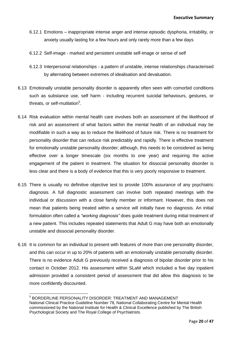- 6.12.1 Emotions inappropriate intense anger and intense episodic dysphoria, irritability, or anxiety usually lasting for a few hours and only rarely more than a few days
- 6.12.2 Self-image marked and persistent unstable self-image or sense of self
- 6.12.3 Interpersonal relationships a pattern of unstable, intense relationships characterised by alternating between extremes of idealisation and devaluation.
- 6.13 Emotionally unstable personality disorder is apparently often seen with comorbid conditions such as substance use, self harm - including recurrent suicidal behaviours, gestures, or threats, or self-mutilation<sup>5</sup>.
- less clear and there is a body of evidence that this is very poorly responsive to treatment. 6.14 Risk evaluation within mental health care involves both an assessment of the likelihood of risk and an assessment of what factors within the mental health of an individual may be modifiable in such a way as to reduce the likelihood of future risk. There is no treatment for personality disorder that can reduce risk predictably and rapidly. There is effective treatment for emotionally unstable personality disorder; although, this needs to be considered as being effective over a longer timescale (six months to one year) and requiring the active engagement of the patient in treatment. The situation for dissocial personality disorder is
- 6.15 There is usually no definitive objective test to provide 100% assurance of any psychiatric diagnosis. A full diagnostic assessment can involve both repeated meetings with the individual or discussion with a close family member or informant. However, this does not mean that patients being treated within a service will initially have no diagnosis. An initial formulation often called a *"working diagnosis"* does guide treatment during initial treatment of a new patient. This includes repeated statements that Adult G may have both an emotionally unstable and dissocial personality disorder.
- 6.16 It is common for an individual to present with features of more than one personality disorder, and this can occur in up to 20% of patients with an emotionally unstable personality disorder. There is no evidence Adult G previously received a diagnosis of bipolar disorder prior to his contact in October 2012. His assessment within SLaM which included a five day inpatient admission provided a consistent period of assessment that did allow this diagnosis to be more confidently discounted.

 5 BORDERLINE PERSONALITY DISORDER: TREATMENT AND MANAGEMENT National Clinical Practice Guideline Number 78, National Collaborating Centre for Mental Health commissioned by the National Institute for Health & Clinical Excellence published by The British Psychological Society and The Royal College of Psychiatrists.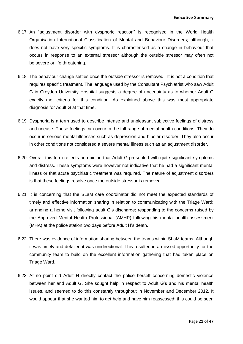- 6.17 An "adjustment disorder with dysphoric reaction" is recognised in the World Health Organisation International Classification of Mental and Behaviour Disorders; although, it does not have very specific symptoms. It is characterised as a change in behaviour that occurs in response to an external stressor although the outside stressor may often not be severe or life threatening.
- 6.18 The behaviour change settles once the outside stressor is removed. It is not a condition that requires specific treatment. The language used by the Consultant Psychiatrist who saw Adult G in Croydon University Hospital suggests a degree of uncertainty as to whether Adult G exactly met criteria for this condition. As explained above this was most appropriate diagnosis for Adult G at that time.
- 6.19 Dysphoria is a term used to describe intense and unpleasant subjective feelings of distress and unease. These feelings can occur in the full range of mental health conditions. They do occur in serious mental illnesses such as depression and bipolar disorder. They also occur in other conditions not considered a severe mental illness such as an adjustment disorder.
- illness or that acute psychiatric treatment was required. The nature of adjustment disorders 6.20 Overall this term reflects an opinion that Adult G presented with quite significant symptoms and distress. These symptoms were however not indicative that he had a significant mental is that these feelings resolve once the outside stressor is removed.
- 6.21 It is concerning that the SLaM care coordinator did not meet the expected standards of timely and effective information sharing in relation to communicating with the Triage Ward; arranging a home visit following adult G's discharge; responding to the concerns raised by the Approved Mental Health Professional (AMHP) following his mental health assessment (MHA) at the police station two days before Adult H's death.
- 6.22 There was evidence of information sharing between the teams within SLaM teams. Although it was timely and detailed it was unidirectional. This resulted in a missed opportunity for the community team to build on the excellent information gathering that had taken place on Triage Ward.
- 6.23 At no point did Adult H directly contact the police herself concerning domestic violence between her and Adult G. She sought help in respect to Adult G's and his mental health issues, and seemed to do this constantly throughout in November and December 2012. It would appear that she wanted him to get help and have him reassessed; this could be seen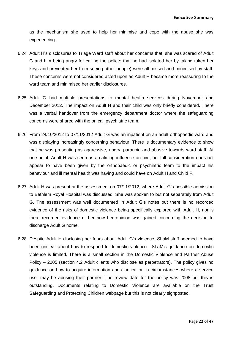as the mechanism she used to help her minimise and cope with the abuse she was experiencing.

- 6.24 Adult H's disclosures to Triage Ward staff about her concerns that, she was scared of Adult G and him being angry for calling the police; that he had isolated her by taking taken her keys and prevented her from seeing other people) were all missed and minimised by staff. These concerns were not considered acted upon as Adult H became more reassuring to the ward team and minimised her earlier disclosures.
- 6.25 Adult G had multiple presentations to mental health services during November and December 2012. The impact on Adult H and their child was only briefly considered. There was a verbal handover from the emergency department doctor where the safeguarding concerns were shared with the on call psychiatric team.
- behaviour and ill mental health was having and could have on Adult H and Child F. 6.26 From 24/10/2012 to 07/11/2012 Adult G was an inpatient on an adult orthopaedic ward and was displaying increasingly concerning behaviour. There is documentary evidence to show that he was presenting as aggressive, angry, paranoid and abusive towards ward staff. At one point, Adult H was seen as a calming influence on him, but full consideration does not appear to have been given by the orthopaedic or psychiatric team to the impact his
- 6.27 Adult H was present at the assessment on 07/11/2012, where Adult G's possible admission to Bethlem Royal Hospital was discussed. She was spoken to but not separately from Adult G. The assessment was well documented in Adult G's notes but there is no recorded evidence of the risks of domestic violence being specifically explored with Adult H, nor is there recorded evidence of her how her opinion was gained concerning the decision to discharge Adult G home.
- 6.28 Despite Adult H disclosing her fears about Adult G's violence, SLaM staff seemed to have been unclear about how to respond to domestic violence. SLaM's guidance on domestic violence is limited. There is a small section in the Domestic Violence and Partner Abuse Policy – 2005 (section 4.2 Adult clients who disclose as perpetrators). The policy gives no guidance on how to acquire information and clarification in circumstances where a service user may be abusing their partner. The review date for the policy was 2008 but this is outstanding. Documents relating to Domestic Violence are available on the Trust Safeguarding and Protecting Children webpage but this is not clearly signposted.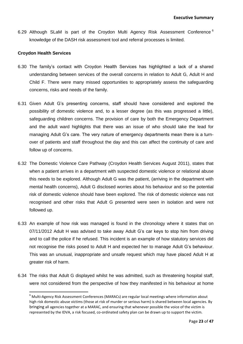6.29 Although SLaM is part of the Croydon Multi Agency Risk Assessment Conference<sup>6</sup> knowledge of the DASH risk assessment tool and referral processes is limited.

#### **Croydon Health Services**

**.** 

- 6.30 The family's contact with Croydon Health Services has highlighted a lack of a shared understanding between services of the overall concerns in relation to Adult G, Adult H and Child F. There were many missed opportunities to appropriately assess the safeguarding concerns, risks and needs of the family.
- 6.31 Given Adult G's presenting concerns, staff should have considered and explored the possibility of domestic violence and, to a lesser degree (as this was progressed a little), safeguarding children concerns. The provision of care by both the Emergency Department and the adult ward highlights that there was an issue of who should take the lead for managing Adult G's care. The very nature of emergency departments mean there is a turnover of patients and staff throughout the day and this can affect the continuity of care and follow up of concerns.
- when a patient arrives in a department with suspected domestic violence or relational abuse 6.32 The Domestic Violence Care Pathway (Croydon Health Services August 2011), states that this needs to be explored. Although Adult G was the patient, (arriving in the department with mental health concerns), Adult G disclosed worries about his behaviour and so the potential risk of domestic violence should have been explored. The risk of domestic violence was not recognised and other risks that Adult G presented were seen in isolation and were not followed up.
- 6.33 An example of how risk was managed is found in the chronology where it states that on 07/11/2012 Adult H was advised to take away Adult G's car keys to stop him from driving and to call the police if he refused. This incident is an example of how statutory services did not recognise the risks posed to Adult H and expected her to manage Adult G's behaviour. This was an unusual, inappropriate and unsafe request which may have placed Adult H at greater risk of harm.
- 6.34 The risks that Adult G displayed whilst he was admitted, such as threatening hospital staff, were not considered from the perspective of how they manifested in his behaviour at home

<sup>6</sup> Multi-Agency Risk Assessment Conferences (MARACs) are regular local meetings where information about high risk domestic abuse victims (those at risk of murder or serious harm) is shared between local agencies. By bringing all agencies together at a MARAC, and ensuring that whenever possible the voice of the victim is represented by the IDVA, a risk focused, co-ordinated safety plan can be drawn up to support the victim.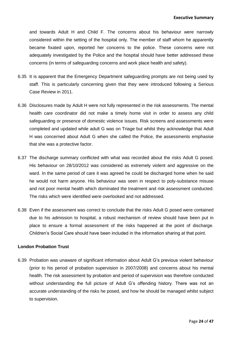and towards Adult H and Child F. The concerns about his behaviour were narrowly considered within the setting of the hospital only. The member of staff whom he apparently became fixated upon, reported her concerns to the police. These concerns were not adequately investigated by the Police and the hospital should have better addressed these concerns (in terms of safeguarding concerns and work place health and safety).

- 6.35 It is apparent that the Emergency Department safeguarding prompts are not being used by staff. This is particularly concerning given that they were introduced following a Serious Case Review in 2011.
- 6.36 Disclosures made by Adult H were not fully represented in the risk assessments. The mental health care coordinator did not make a timely home visit in order to assess any child safeguarding or presence of domestic violence issues. Risk screens and assessments were completed and updated while adult G was on Triage but whilst they acknowledge that Adult H was concerned about Adult G when she called the Police, the assessments emphasise that she was a protective factor.
- ward. In the same period of care it was agreed he could be discharged home when he said 6.37 The discharge summary conflicted with what was recorded about the risks Adult G posed. His behaviour on 28/10/2012 was considered as extremely violent and aggressive on the he would not harm anyone. His behaviour was seen in respect to poly-substance misuse and not poor mental health which dominated the treatment and risk assessment conducted. The risks which were identified were overlooked and not addressed.
- 6.38 Even if the assessment was correct to conclude that the risks Adult G posed were contained due to his admission to hospital, a robust mechanism of review should have been put in place to ensure a formal assessment of the risks happened at the point of discharge. Children's Social Care should have been included in the information sharing at that point.

#### **London Probation Trust**

6.39 Probation was unaware of significant information about Adult G's previous violent behaviour (prior to his period of probation supervision in 2007/2008) and concerns about his mental health. The risk assessment by probation and period of supervision was therefore conducted without understanding the full picture of Adult G's offending history. There was not an accurate understanding of the risks he posed, and how he should be managed whilst subject to supervision.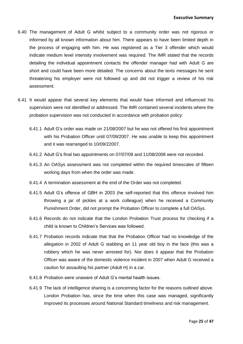- 6.40 The management of Adult G whilst subject to a community order was not rigorous or informed by all known information about him. There appears to have been limited depth in the process of engaging with him. He was registered as a Tier 3 offender which would indicate medium level intensity involvement was required. The IMR stated that the records detailing the individual appointment contacts the offender manager had with Adult G are short and could have been more detailed. The concerns about the texts messages he sent threatening his employer were not followed up and did not trigger a review of his risk assessment.
- 6.41 It would appear that several key elements that would have informed and influenced his supervision were not identified or addressed. The IMR contained several incidents where the probation supervision was not conducted in accordance with probation policy:
	- 6.41.1 Adult G's order was made on 21/08/2007 but he was not offered his first appointment with his Probation Officer until 07/09/2007. He was unable to keep this appointment and it was rearranged to 10/09/22007.
	- 6.41.2 Adult G's final two appointments on 07/07/08 and 11/08/2008 were not recorded.
	- working days from when the order was made. 6.41.3 An OASys assessment was not completed within the required timescales of fifteen
	- 6.41.4 A termination assessment at the end of the Order was not completed.
	- 6.41.5 Adult G's offence of GBH in 2003 (he self-reported that this offence involved him throwing a jar of pickles at a work colleague) when he received a Community Punishment Order, did not prompt the Probation Officer to complete a full OASys.
	- 6.41.6 Records do not indicate that the London Probation Trust process for checking if a child is known to Children's Services was followed.
	- 6.41.7 Probation records indicate that that the Probation Officer had no knowledge of the allegation in 2002 of Adult G stabbing an 11 year old boy in the face (this was a robbery which he was never arrested for). Nor does it appear that the Probation Officer was aware of the domestic violence incident in 2007 when Adult G received a caution for assaulting his partner (Adult H) in a car.
	- 6.41.8 Probation were unaware of Adult G's mental health issues.
	- 6.41.9 The lack of intelligence sharing is a concerning factor for the reasons outlined above. London Probation has, since the time when this case was managed, significantly improved its processes around National Standard timeliness and risk management.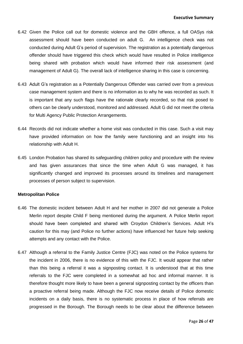- 6.42 Given the Police call out for domestic violence and the GBH offence, a full OASys risk assessment should have been conducted on adult G. An intelligence check was not conducted during Adult G's period of supervision. The registration as a potentially dangerous offender should have triggered this check which would have resulted in Police intelligence being shared with probation which would have informed their risk assessment (and management of Adult G). The overall lack of intelligence sharing in this case is concerning.
- 6.43 Adult G's registration as a Potentially Dangerous Offender was carried over from a previous case management system and there is no information as to why he was recorded as such. It is important that any such flags have the rationale clearly recorded, so that risk posed to others can be clearly understood, monitored and addressed. Adult G did not meet the criteria for Multi Agency Public Protection Arrangements.
- 6.44 Records did not indicate whether a home visit was conducted in this case. Such a visit may have provided information on how the family were functioning and an insight into his relationship with Adult H.
- significantly changed and improved its processes around its timelines and management 6.45 London Probation has shared its safeguarding children policy and procedure with the review and has given assurances that since the time when Adult G was managed, it has processes of person subject to supervision.

#### **Metropolitan Police**

- 6.46 The domestic incident between Adult H and her mother in 2007 did not generate a Police Merlin report despite Child F being mentioned during the argument. A Police Merlin report should have been completed and shared with Croydon Children's Services. Adult H's caution for this may (and Police no further actions) have influenced her future help seeking attempts and any contact with the Police.
- 6.47 Although a referral to the Family Justice Centre (FJC) was noted on the Police systems for the incident in 2006, there is no evidence of this with the FJC. It would appear that rather than this being a referral it was a signposting contact. It is understood that at this time referrals to the FJC were completed in a somewhat ad hoc and informal manner. It is therefore thought more likely to have been a general signposting contact by the officers than a proactive referral being made. Although the FJC now receive details of Police domestic incidents on a daily basis, there is no systematic process in place of how referrals are progressed in the Borough. The Borough needs to be clear about the difference between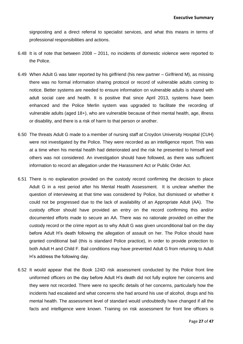signposting and a direct referral to specialist services, and what this means in terms of professional responsibilities and actions.

- 6.48 It is of note that between 2008 2011, no incidents of domestic violence were reported to the Police.
- 6.49 When Adult G was later reported by his girlfriend (his new partner Girlfriend M), as missing there was no formal information sharing protocol or record of vulnerable adults coming to notice. Better systems are needed to ensure information on vulnerable adults is shared with adult social care and health. It is positive that since April 2013, systems have been enhanced and the Police Merlin system was upgraded to facilitate the recording of vulnerable adults (aged 18+), who are vulnerable because of their mental health, age, illness or disability, and there is a risk of harm to that person or another.
- 6.50 The threats Adult G made to a member of nursing staff at Croydon University Hospital (CUH) were not investigated by the Police. They were recorded as an intelligence report. This was at a time when his mental health had deteriorated and the risk he presented to himself and others was not considered. An investigation should have followed, as there was sufficient information to record an allegation under the Harassment Act or Public Order Act.
- 6.51 There is no explanation provided on the custody record confirming the decision to place Adult G in a rest period after his Mental Health Assessment. It is unclear whether the question of interviewing at that time was considered by Police, but dismissed or whether it could not be progressed due to the lack of availability of an Appropriate Adult (AA). The custody officer should have provided an entry on the record confirming this and/or documented efforts made to secure an AA. There was no rationale provided on either the custody record or the crime report as to why Adult G was given unconditional bail on the day before Adult H's death following the allegation of assault on her. The Police should have granted conditional bail (this is standard Police practice), in order to provide protection to both Adult H and Child F. Bail conditions may have prevented Adult G from returning to Adult H's address the following day.
- 6.52 It would appear that the Book 124D risk assessment conducted by the Police front line uniformed officers on the day before Adult H's death did not fully explore her concerns and they were not recorded. There were no specific details of her concerns, particularly how the incidents had escalated and what concerns she had around his use of alcohol, drugs and his mental health. The assessment level of standard would undoubtedly have changed if all the facts and intelligence were known. Training on risk assessment for front line officers is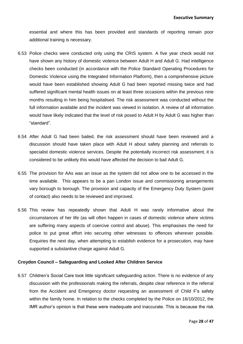essential and where this has been provided and standards of reporting remain poor additional training is necessary.

- 6.53 Police checks were conducted only using the CRIS system. A five year check would not have shown any history of domestic violence between Adult H and Adult G. Had intelligence checks been conducted (in accordance with the Police Standard Operating Procedures for Domestic Violence using the Integrated Information Platform), then a comprehensive picture would have been established showing Adult G had been reported missing twice and had suffered significant mental health issues on at least three occasions within the previous nine months resulting in him being hospitalised. The risk assessment was conducted without the full information available and the incident was viewed in isolation. A review of all information would have likely indicated that the level of risk posed to Adult H by Adult G was higher than "standard".
- 6.54 After Adult G had been bailed, the risk assessment should have been reviewed and a discussion should have taken place with Adult H about safety planning and referrals to specialist domestic violence services. Despite the potentially incorrect risk assessment, it is considered to be unlikely this would have affected the decision to bail Adult G.
- 6.55 The provision for AAs was an issue as the system did not allow one to be accessed in the time available. This appears to be a pan London issue and commissioning arrangements vary borough to borough. The provision and capacity of the Emergency Duty System (point of contact) also needs to be reviewed and improved.
- 6.56 This review has repeatedly shown that Adult H was rarely informative about the circumstances of her life (as will often happen in cases of domestic violence where victims are suffering many aspects of coercive control and abuse). This emphasises the need for police to put great effort into securing other witnesses to offences wherever possible. Enquiries the next day, when attempting to establish evidence for a prosecution, may have supported a substantive charge against Adult G.

#### **Croydon Council – Safeguarding and Looked After Children Service**

6.57 Children's Social Care took little significant safeguarding action. There is no evidence of any discussion with the professionals making the referrals, despite clear reference in the referral from the Accident and Emergency doctor requesting an assessment of Child F's safety within the family home. In relation to the checks completed by the Police on 16/10/2012, the IMR author's opinion is that these were inadequate and inaccurate. This is because the risk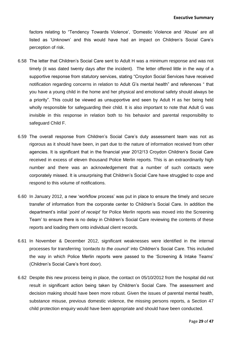factors relating to "Tendency Towards Violence', 'Domestic Violence and 'Abuse' are all listed as 'Unknown' and this would have had an impact on Children's Social Care's perception of risk.

- 6.58 The letter that Children's Social Care sent to Adult H was a minimum response and was not timely (it was dated twenty days after the incident). The letter offered little in the way of a supportive response from statutory services, stating "Croydon Social Services have received notification regarding concerns in relation to Adult G's mental health" and references " that you have a young child in the home and her physical and emotional safety should always be a priority". This could be viewed as unsupportive and seen by Adult H as her being held wholly responsible for safeguarding their child. It is also important to note that Adult G was invisible in this response in relation both to his behavior and parental responsibility to safeguard Child F.
- 6.59 The overall response from Children's Social Care's duty assessment team was not as rigorous as it should have been, in part due to the nature of information received from other agencies. It is significant that in the financial year 2012/13 Croydon Children's Social Care received in excess of eleven thousand Police Merlin reports. This is an extraordinarily high number and there was an acknowledgement that a number of such contacts were corporately missed. It is unsurprising that Children's Social Care have struggled to cope and respond to this volume of notifications.
- 6.60 In January 2012, a new 'workflow process' was put in place to ensure the timely and secure transfer of information from the corporate center to Children's Social Care. In addition the department's initial '*point of receipt'* for Police Merlin reports was moved into the Screening Team' to ensure there is no delay in Children's Social Care reviewing the contents of these reports and loading them onto individual client records.
- 6.61 In November & December 2012, significant weaknesses were identified in the internal processes for transferring *'contacts to the council'* into Children's Social Care. This included the way in which Police Merlin reports were passed to the 'Screening & Intake Teams' (Children's Social Care's front door).
- 6.62 Despite this new process being in place, the contact on 05/10/2012 from the hospital did not result in significant action being taken by Children's Social Care. The assessment and decision making should have been more robust. Given the issues of parental mental health, substance misuse, previous domestic violence, the missing persons reports, a Section 47 child protection enquiry would have been appropriate and should have been conducted.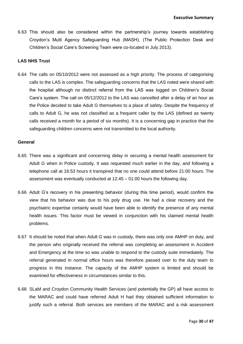6.63 This should also be considered within the partnership's journey towards establishing Croydon's Multi Agency Safeguarding Hub (MASH). (The Public Protection Desk and Children's Social Care's Screening Team were co-located in July 2013).

#### **LAS NHS Trust**

6.64 The calls on 05/10/2012 were not assessed as a high priority. The process of categorising calls to the LAS is complex. The safeguarding concerns that the LAS noted were shared with the hospital although no distinct referral from the LAS was logged on Children's Social Care's system. The call on 05/12/2012 to the LAS was cancelled after a delay of an hour as the Police decided to take Adult G themselves to a place of safety. Despite the frequency of calls to Adult G, he was not classified as a frequent caller by the LAS (defined as twenty calls received a month for a period of six months). It is a concerning gap in practice that the safeguarding children concerns were not transmitted to the local authority.

#### **General**

- telephone call at 16:53 hours it transpired that no one could attend before 21:00 hours. The 6.65 There was a significant and concerning delay in securing a mental health assessment for Adult G when in Police custody. It was requested much earlier in the day, and following a assessment was eventually conducted at 12:45 – 01:00 hours the following day.
- 6.66 Adult G's recovery in his presenting behavior (during this time period), would confirm the view that his behavior was due to his poly drug use. He had a clear recovery and the psychiatric expertise certainly would have been able to identify the presence of any mental health issues. This factor must be viewed in conjunction with his claimed mental health problems.
- 6.67 It should be noted that when Adult G was in custody, there was only one AMHP on duty, and the person who originally received the referral was completing an assessment in Accident and Emergency at the time so was unable to respond to the custody suite immediately. The referral generated in normal office hours was therefore passed over to the duty team to progress in this instance. The capacity of the AMHP system is limited and should be examined for effectiveness in circumstances similar to this.
- 6.68 SLaM and Croydon Community Health Services (and potentially the GP) all have access to the MARAC and could have referred Adult H had they obtained sufficient information to justify such a referral. Both services are members of the MARAC and a risk assessment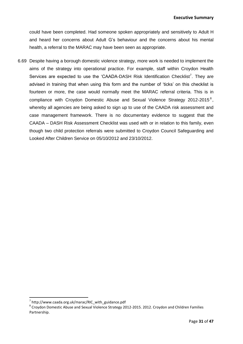could have been completed. Had someone spoken appropriately and sensitively to Adult H and heard her concerns about Adult G's behaviour and the concerns about his mental health, a referral to the MARAC may have been seen as appropriate.

6.69 Despite having a borough domestic violence strategy, more work is needed to implement the aims of the strategy into operational practice. For example, staff within Croydon Health Services are expected to use the 'CAADA-DASH Risk Identification Checklist<sup>7</sup>. They are advised in training that when using this form and the number of 'ticks' on this checklist is fourteen or more, the case would normally meet the MARAC referral criteria. This is in compliance with Croydon Domestic Abuse and Sexual Violence Strategy 2012-2015<sup>8</sup>, whereby all agencies are being asked to sign up to use of the CAADA risk assessment and case management framework. There is no documentary evidence to suggest that the CAADA – DASH Risk Assessment Checklist was used with or in relation to this family, even though two child protection referrals were submitted to Croydon Council Safeguarding and Looked After Children Service on 05/10/2012 and 23/10/2012.

**.** 

<sup>7</sup> http://www.caada.org.uk/marac/RIC\_with\_guidance.pdf

<sup>&</sup>lt;sup>8</sup> Croydon Domestic Abuse and Sexual Violence Strategy 2012-2015. 2012. Croydon and Children Families Partnership.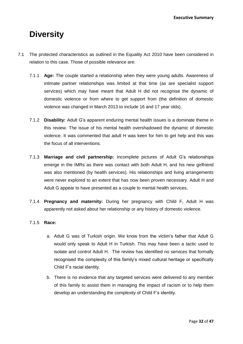## **Diversity**

- 7.1 The protected characteristics as outlined in the Equality Act 2010 have been considered in relation to this case. Those of possible relevance are:
	- 7.1.1 **Age:** The couple started a relationship when they were young adults. Awareness of intimate partner relationships was limited at that time (as are specialist support services) which may have meant that Adult H did not recognise the dynamic of domestic violence or from where to get support from (the definition of domestic violence was changed in March 2013 to include 16 and 17 year olds).
	- 7.1.2 **Disability:** Adult G's apparent enduring mental health issues is a dominate theme in this review. The issue of his mental health overshadowed the dynamic of domestic violence. It was commented that adult H was keen for him to get help and this was the focus of all interventions.
	- was also mentioned (by health services). His relationships and living arrangements 7.1.3 **Marriage and civil partnership:** Incomplete pictures of Adult G's relationships emerge in the IMRs as there was contact with both Adult H, and his new girlfriend were never explored to an extent that has now been proven necessary. Adult H and Adult G appear to have presented as a couple to mental health services,
	- 7.1.4 **Pregnancy and maternity:** During her pregnancy with Child F, Adult H was apparently not asked about her relationship or any history of domestic violence.

#### 7.1.5 **Race:**

- a. Adult G was of Turkish origin. We know from the victim's father that Adult G would only speak to Adult H in Turkish. This may have been a tactic used to isolate and control Adult H. The review has identified no services that formally recognised the complexity of this family's mixed cultural heritage or specifically Child F's racial identity.
- b. There is no evidence that any targeted services were delivered to any member of this family to assist them in managing the impact of racism or to help them develop an understanding the complexity of Child F's identity.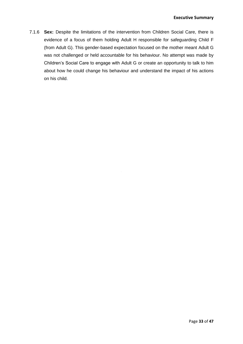7.1.6 **Sex:** Despite the limitations of the intervention from Children Social Care, there is evidence of a focus of them holding Adult H responsible for safeguarding Child F (from Adult G). This gender-based expectation focused on the mother meant Adult G was not challenged or held accountable for his behaviour. No attempt was made by Children's Social Care to engage with Adult G or create an opportunity to talk to him about how he could change his behaviour and understand the impact of his actions on his child.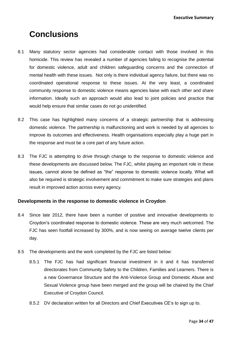**Executive Summary**

## **Conclusions**

- 8.1 Many statutory sector agencies had considerable contact with those involved in this homicide. This review has revealed a number of agencies failing to recognise the potential for domestic violence, adult and children safeguarding concerns and the connection of mental health with these issues. Not only is there individual agency failure, but there was no coordinated operational response to these issues. At the very least, a coordinated community response to domestic violence means agencies liaise with each other and share information. Ideally such an approach would also lead to joint policies and practice that would help ensure that similar cases do not go unidentified.
- 8.2 This case has highlighted many concerns of a strategic partnership that is addressing domestic violence. The partnership is malfunctioning and work is needed by all agencies to improve its outcomes and effectiveness. Health organisations especially play a huge part in the response and must be a core part of any future action.
- issues, cannot alone be defined as "the" response to domestic violence locally. What will 8.3 The FJC is attempting to drive through change to the response to domestic violence and these developments are discussed below. The FJC, whilst playing an important role in these also be required is strategic involvement and commitment to make sure strategies and plans result in improved action across every agency.

#### **Developments in the response to domestic violence in Croydon**

- 8.4 Since late 2012, there have been a number of positive and innovative developments to Croydon's coordinated response to domestic violence. These are very much welcomed. The FJC has seen footfall increased by 300%, and is now seeing on average twelve clients per day.
- 8.5 The developments and the work completed by the FJC are listed below:
	- 8.5.1 The FJC has had significant financial investment in it and it has transferred directorates from Community Safety to the Children, Families and Learners. There is a new Governance Structure and the Anti-Violence Group and Domestic Abuse and Sexual Violence group have been merged and the group will be chaired by the Chief Executive of Croydon Council.
	- 8.5.2 DV declaration written for all Directors and Chief Executives CE's to sign up to.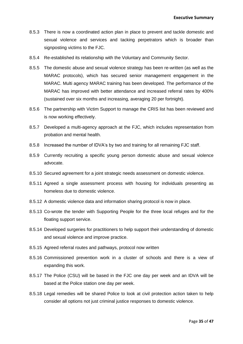- 8.5.3 There is now a coordinated action plan in place to prevent and tackle domestic and sexual violence and services and tacking perpetrators which is broader than signposting victims to the FJC.
- 8.5.4 Re-established its relationship with the Voluntary and Community Sector.
- 8.5.5 The domestic abuse and sexual violence strategy has been re-written (as well as the MARAC protocols), which has secured senior management engagement in the MARAC. Multi agency MARAC training has been developed. The performance of the MARAC has improved with better attendance and increased referral rates by 400% (sustained over six months and increasing, averaging 20 per fortnight).
- 8.5.6 The partnership with Victim Support to manage the CRIS list has been reviewed and is now working effectively.
- 8.5.7 Developed a multi-agency approach at the FJC, which includes representation from probation and mental health.
- 8.5.8 Increased the number of IDVA's by two and training for all remaining FJC staff.
- 8.5.9 Currently recruiting a specific young person domestic abuse and sexual violence advocate.
- 8.5.10 Secured agreement for a joint strategic needs assessment on domestic violence.
- 8.5.11 Agreed a single assessment process with housing for individuals presenting as homeless due to domestic violence.
- 8.5.12 A domestic violence data and information sharing protocol is now in place.
- 8.5.13 Co-wrote the tender with Supporting People for the three local refuges and for the floating support service.
- 8.5.14 Developed surgeries for practitioners to help support their understanding of domestic and sexual violence and improve practice.
- 8.5.15 Agreed referral routes and pathways, protocol now written
- 8.5.16 Commissioned prevention work in a cluster of schools and there is a view of expanding this work.
- 8.5.17 The Police (CSU) will be based in the FJC one day per week and an IDVA will be based at the Police station one day per week.
- 8.5.18 Legal remedies will be shared Police to look at civil protection action taken to help consider all options not just criminal justice responses to domestic violence.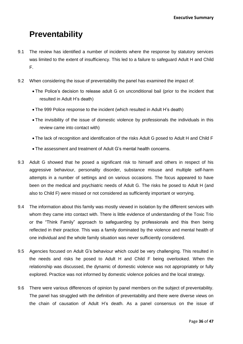## **Preventability**

- 9.1 The review has identified a number of incidents where the response by statutory services was limited to the extent of insufficiency. This led to a failure to safeguard Adult H and Child F.
- 9.2 When considering the issue of preventability the panel has examined the impact of:
	- The Police's decision to release adult G on unconditional bail (prior to the incident that resulted in Adult H's death)
	- The 999 Police response to the incident (which resulted in Adult H's death)
	- The invisibility of the issue of domestic violence by professionals the individuals in this review came into contact with)
	- The lack of recognition and identification of the risks Adult G posed to Adult H and Child F
	- The assessment and treatment of Adult G's mental health concerns.
- aggressive behaviour, personality disorder, substance misuse and multiple self-harm 9.3 Adult G showed that he posed a significant risk to himself and others in respect of his attempts in a number of settings and on various occasions. The focus appeared to have been on the medical and psychiatric needs of Adult G. The risks he posed to Adult H (and also to Child F) were missed or not considered as sufficiently important or worrying.
- 9.4 The information about this family was mostly viewed in isolation by the different services with whom they came into contact with. There is little evidence of understanding of the Toxic Trio or the "Think Family" approach to safeguarding by professionals and this then being reflected in their practice. This was a family dominated by the violence and mental health of one individual and the whole family situation was never sufficiently considered.
- 9.5 Agencies focused on Adult G's behaviour which could be very challenging. This resulted in the needs and risks he posed to Adult H and Child F being overlooked. When the relationship was discussed, the dynamic of domestic violence was not appropriately or fully explored. Practice was not informed by domestic violence policies and the local strategy.
- 9.6 There were various differences of opinion by panel members on the subject of preventability. The panel has struggled with the definition of preventability and there were diverse views on the chain of causation of Adult H's death. As a panel consensus on the issue of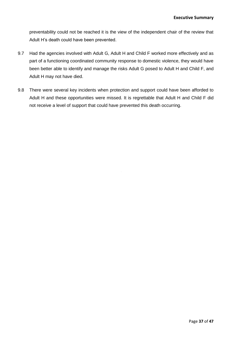preventability could not be reached it is the view of the independent chair of the review that Adult H's death could have been prevented.

- 9.7 Had the agencies involved with Adult G, Adult H and Child F worked more effectively and as part of a functioning coordinated community response to domestic violence, they would have been better able to identify and manage the risks Adult G posed to Adult H and Child F, and Adult H may not have died.
- 9.8 There were several key incidents when protection and support could have been afforded to Adult H and these opportunities were missed. It is regrettable that Adult H and Child F did not receive a level of support that could have prevented this death occurring.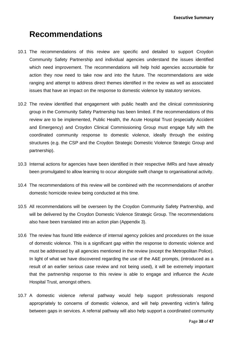## **Recommendations**

- 10.1 The recommendations of this review are specific and detailed to support Croydon Community Safety Partnership and individual agencies understand the issues identified which need improvement. The recommendations will help hold agencies accountable for action they now need to take now and into the future. The recommendations are wide ranging and attempt to address direct themes identified in the review as well as associated issues that have an impact on the response to domestic violence by statutory services.
- 10.2 The review identified that engagement with public health and the clinical commissioning group in the Community Safety Partnership has been limited. If the recommendations of this review are to be implemented, Public Health, the Acute Hospital Trust (especially Accident and Emergency) and Croydon Clinical Commissioning Group must engage fully with the coordinated community response to domestic violence, ideally through the existing structures (e.g. the CSP and the Croydon Strategic Domestic Violence Strategic Group and partnership).
- been promulgated to allow learning to occur alongside swift change to organisational activity. 10.3 Internal actions for agencies have been identified in their respective IMRs and have already
- 10.4 The recommendations of this review will be combined with the recommendations of another domestic homicide review being conducted at this time.
- 10.5 All recommendations will be overseen by the Croydon Community Safety Partnership, and will be delivered by the Croydon Domestic Violence Strategic Group. The recommendations also have been translated into an action plan (Appendix 3).
- 10.6 The review has found little evidence of internal agency policies and procedures on the issue of domestic violence. This is a significant gap within the response to domestic violence and must be addressed by all agencies mentioned in the review (except the Metropolitan Police). In light of what we have discovered regarding the use of the A&E prompts, (introduced as a result of an earlier serious case review and not being used), it will be extremely important that the partnership response to this review is able to engage and influence the Acute Hospital Trust, amongst others.
- 10.7 A domestic violence referral pathway would help support professionals respond appropriately to concerns of domestic violence, and will help preventing victim's falling between gaps in services. A referral pathway will also help support a coordinated community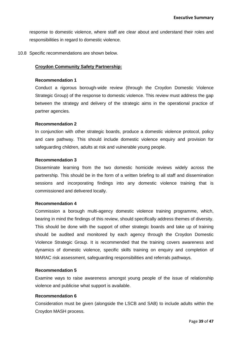response to domestic violence, where staff are clear about and understand their roles and responsibilities in regard to domestic violence.

10.8 Specific recommendations are shown below.

#### **Croydon Community Safety Partnership:**

#### **Recommendation 1**

Conduct a rigorous borough-wide review (through the Croydon Domestic Violence Strategic Group) of the response to domestic violence. This review must address the gap between the strategy and delivery of the strategic aims in the operational practice of partner agencies.

#### **Recommendation 2**

In conjunction with other strategic boards, produce a domestic violence protocol, policy and care pathway. This should include domestic violence enquiry and provision for safeguarding children, adults at risk and vulnerable young people.

#### **Recommendation 3**

Disseminate learning from the two domestic homicide reviews widely across the partnership. This should be in the form of a written briefing to all staff and dissemination sessions and incorporating findings into any domestic violence training that is commissioned and delivered locally.

#### **Recommendation 4**

Commission a borough multi-agency domestic violence training programme, which, bearing in mind the findings of this review, should specifically address themes of diversity. This should be done with the support of other strategic boards and take up of training should be audited and monitored by each agency through the Croydon Domestic Violence Strategic Group. It is recommended that the training covers awareness and dynamics of domestic violence, specific skills training on enquiry and completion of MARAC risk assessment, safeguarding responsibilities and referrals pathways.

#### **Recommendation 5**

Examine ways to raise awareness amongst young people of the issue of relationship violence and publicise what support is available.

#### **Recommendation 6**

Consideration must be given (alongside the LSCB and SAB) to include adults within the Croydon MASH process.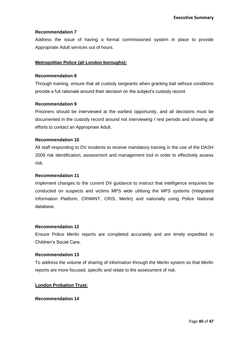#### **Recommendation 7**

Address the issue of having a formal commissioned system in place to provide Appropriate Adult services out of hours.

#### **Metropolitan Police (all London boroughs):**

#### **Recommendation 8**

Through training, ensure that all custody sergeants when granting bail without conditions provide a full rationale around their decision on the subject's custody record.

#### **Recommendation 9**

Prisoners should be interviewed at the earliest opportunity, and all decisions must be documented in the custody record around not interviewing / rest periods and showing all efforts to contact an Appropriate Adult.

#### **Recommendation 10**

All staff responding to DV incidents to receive mandatory training in the use of the DASH 2009 risk identification, assessment and management tool in order to effectively assess risk.

#### **Recommendation 11**

Implement changes to the current DV guidance to instruct that intelligence enquiries be conducted on suspects and victims MPS wide utilising the MPS systems (Integrated Information Platform, CRIMINT, CRIS, Merlin) and nationally using Police National database.

#### **Recommendation 12**

Ensure Police Merlin reports are completed accurately and are timely expedited to Children's Social Care.

#### **Recommendation 13**

To address the volume of sharing of information through the Merlin system so that Merlin reports are more focused, specific and relate to the assessment of risk.

#### **London Probation Trust:**

#### **Recommendation 14**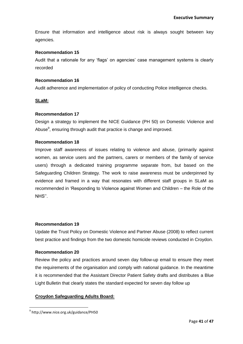Ensure that information and intelligence about risk is always sought between key agencies.

#### **Recommendation 15**

Audit that a rationale for any 'flags' on agencies' case management systems is clearly recorded

#### **Recommendation 16**

Audit adherence and implementation of policy of conducting Police intelligence checks.

#### **SLaM:**

#### **Recommendation 17**

Design a strategy to implement the NICE Guidance (PH 50) on Domestic Violence and Abuse<sup>9</sup>, ensuring through audit that practice is change and improved.

#### **Recommendation 18**

Safeguarding Children Strategy. The work to raise awareness must be underpinned by Improve staff awareness of issues relating to violence and abuse, (primarily against women, as service users and the partners, carers or members of the family of service users) through a dedicated training programme separate from, but based on the evidence and framed in a way that resonates with different staff groups in SLaM as recommended in 'Responding to Violence against Women and Children – the Role of the NHS''.

#### **Recommendation 19**

Update the Trust Policy on Domestic Violence and Partner Abuse (2008) to reflect current best practice and findings from the two domestic homicide reviews conducted in Croydon.

#### **Recommendation 20**

Review the policy and practices around seven day follow-up email to ensure they meet the requirements of the organisation and comply with national guidance. In the meantime it is recommended that the Assistant Director Patient Safety drafts and distributes a Blue Light Bulletin that clearly states the standard expected for seven day follow up

#### **Croydon Safeguarding Adults Board:**

**.** 

<sup>9</sup> http://www.nice.org.uk/guidance/PH50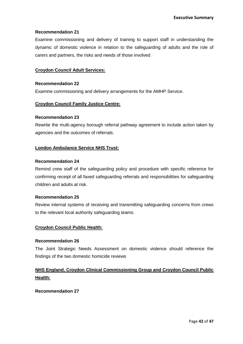#### **Recommendation 21**

Examine commissioning and delivery of training to support staff in understanding the dynamic of domestic violence in relation to the safeguarding of adults and the role of carers and partners, the risks and needs of those involved

#### **Croydon Council Adult Services:**

#### **Recommendation 22**

Examine commissioning and delivery arrangements for the AMHP Service.

#### **Croydon Council Family Justice Centre:**

#### **Recommendation 23**

Rewrite the multi-agency borough referral pathway agreement to include action taken by agencies and the outcomes of referrals.

#### **London Ambulance Service NHS Trust:**

#### **Recommendation 24**

Remind crew staff of the safeguarding policy and procedure with specific reference for confirming receipt of all faxed safeguarding referrals and responsibilities for safeguarding children and adults at risk.

#### **Recommendation 25**

Review internal systems of receiving and transmitting safeguarding concerns from crews to the relevant local authority safeguarding teams.

#### **Croydon Council Public Health:**

#### **Recommendation 26**

The Joint Strategic Needs Assessment on domestic violence should reference the findings of the two domestic homicide reviews

#### **NHS England, Croydon Clinical Commissioning Group and Croydon Council Public Health:**

#### **Recommendation 27**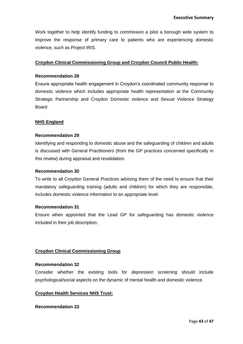Work together to help identify funding to commission a pilot a borough wide system to improve the response of primary care to patients who are experiencing domestic violence, such as Project IRIS.

#### **Croydon Clinical Commissioning Group and Croydon Council Public Health:**

#### **Recommendation 28**

Ensure appropriate health engagement in Croydon's coordinated community response to domestic violence which includes appropriate health representation at the Community Strategic Partnership and Croydon Domestic violence and Sexual Violence Strategy Board

#### **NHS England**

#### **Recommendation 29**

Identifying and responding to domestic abuse and the safeguarding of children and adults is discussed with General Practitioners (from the GP practices concerned specifically in this review) during appraisal and revalidation.

#### **Recommendation 30**

To write to all Croydon General Practices advising them of the need to ensure that their mandatory safeguarding training (adults and children) for which they are responsible, includes domestic violence information to an appropriate level.

#### **Recommendation 31**

Ensure when appointed that the Lead GP for safeguarding has domestic violence included in their job description.

#### **Croydon Clinical Commissioning Group**

#### **Recommendation 32**

Consider whether the existing tools for depression screening should include psychological/social aspects on the dynamic of mental health and domestic violence.

#### **Croydon Health Services NHS Trust:**

#### **Recommendation 33**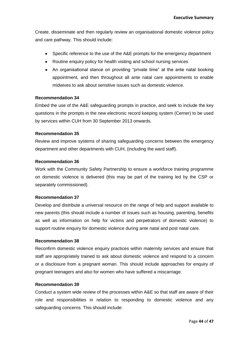Create, disseminate and then regularly review an organisational domestic violence policy and care pathway. This should include:

- Specific reference to the use of the A&E prompts for the emergency department
- Routine enquiry policy for health visiting and school nursing services
- An organisational stance on providing "private time" at the ante natal booking appointment, and then throughout all ante natal care appointments to enable midwives to ask about sensitive issues such as domestic violence.

#### **Recommendation 34**

Embed the use of the A&E safeguarding prompts in practice, and seek to include the key questions in the prompts in the new electronic record keeping system (Cerner) to be used by services within CUH from 30 September 2013 onwards.

#### **Recommendation 35**

Review and improve systems of sharing safeguarding concerns between the emergency department and other departments with CUH, (including the ward staff).

#### **Recommendation 36**

Work with the Community Safety Partnership to ensure a workforce training programme on domestic violence is delivered (this may be part of the training led by the CSP or separately commissioned).

#### **Recommendation 37**

Develop and distribute a universal resource on the range of help and support available to new parents (this should include a number of issues such as housing, parenting, benefits as well as information on help for victims and perpetrators of domestic violence) to support routine enquiry for domestic violence during ante natal and post natal care.

#### **Recommendation 38**

Reconfirm domestic violence enquiry practices within maternity services and ensure that staff are appropriately trained to ask about domestic violence and respond to a concern or a disclosure from a pregnant woman. This should include approaches for enquiry of pregnant teenagers and also for women who have suffered a miscarriage.

#### **Recommendation 39**

Conduct a system wide review of the processes within A&E so that staff are aware of their role and responsibilities in relation to responding to domestic violence and any safeguarding concerns. This should include: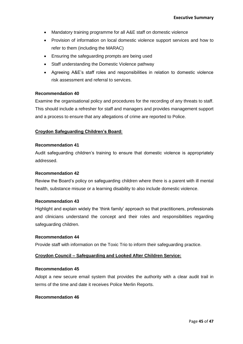- Mandatory training programme for all A&E staff on domestic violence
- Provision of information on local domestic violence support services and how to refer to them (including the MARAC)
- Ensuring the safeguarding prompts are being used
- Staff understanding the Domestic Violence pathway
- Agreeing A&E's staff roles and responsibilities in relation to domestic violence risk assessment and referral to services.

#### **Recommendation 40**

Examine the organisational policy and procedures for the recording of any threats to staff. This should include a refresher for staff and managers and provides management support and a process to ensure that any allegations of crime are reported to Police.

#### **Croydon Safeguarding Children's Board:**

#### **Recommendation 41**

Audit safeguarding children's training to ensure that domestic violence is appropriately addressed.

#### **Recommendation 42**

Review the Board's policy on safeguarding children where there is a parent with ill mental health, substance misuse or a learning disability to also include domestic violence.

#### **Recommendation 43**

Highlight and explain widely the 'think family' approach so that practitioners, professionals and clinicians understand the concept and their roles and responsibilities regarding safeguarding children.

#### **Recommendation 44**

Provide staff with information on the Toxic Trio to inform their safeguarding practice.

#### **Croydon Council – Safeguarding and Looked After Children Service:**

#### **Recommendation 45**

Adopt a new secure email system that provides the authority with a clear audit trail in terms of the time and date it receives Police Merlin Reports.

#### **Recommendation 46**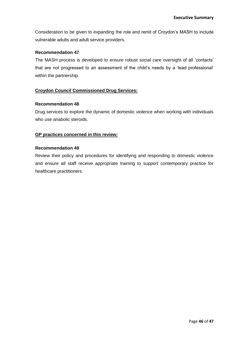Consideration to be given to expanding the role and remit of Croydon's MASH to include vulnerable adults and adult service providers.

#### **Recommendation 47**

The MASH process is developed to ensure robust social care oversight of all 'contacts' that are not progressed to an assessment of the child's needs by a 'lead professional' within the partnership.

#### **Croydon Council Commissioned Drug Services:**

#### **Recommendation 48**

Drug services to explore the dynamic of domestic violence when working with individuals who use anabolic steroids.

#### **GP practices concerned in this review:**

#### **Recommendation 49**

Review their policy and procedures for identifying and responding to domestic violence and ensure all staff receive appropriate training to support contemporary practice for healthcare practitioners.